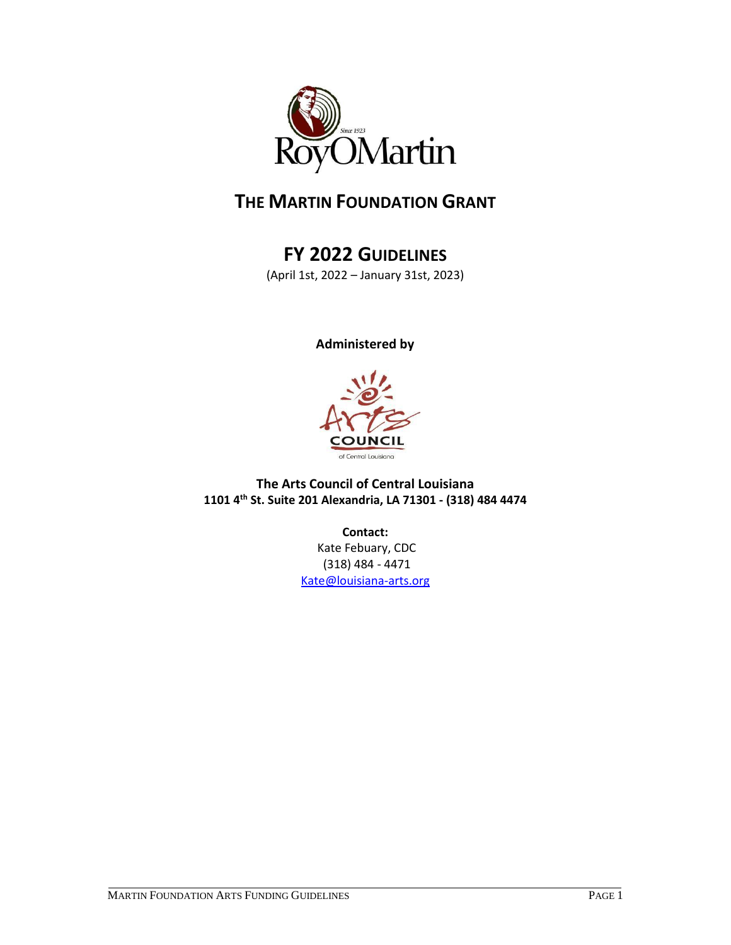

# **THE MARTIN FOUNDATION GRANT**

# **FY 2022 GUIDELINES**

(April 1st, 2022 – January 31st, 2023)

**Administered by** 



**The Arts Council of Central Louisiana 1101 4th St. Suite 201 Alexandria, LA 71301 - (318) 484 4474**

**Contact:**

Kate Febuary, CDC (318) 484 - 4471 [Kate@louisiana-arts.org](mailto:Kate@louisiana-arts.org)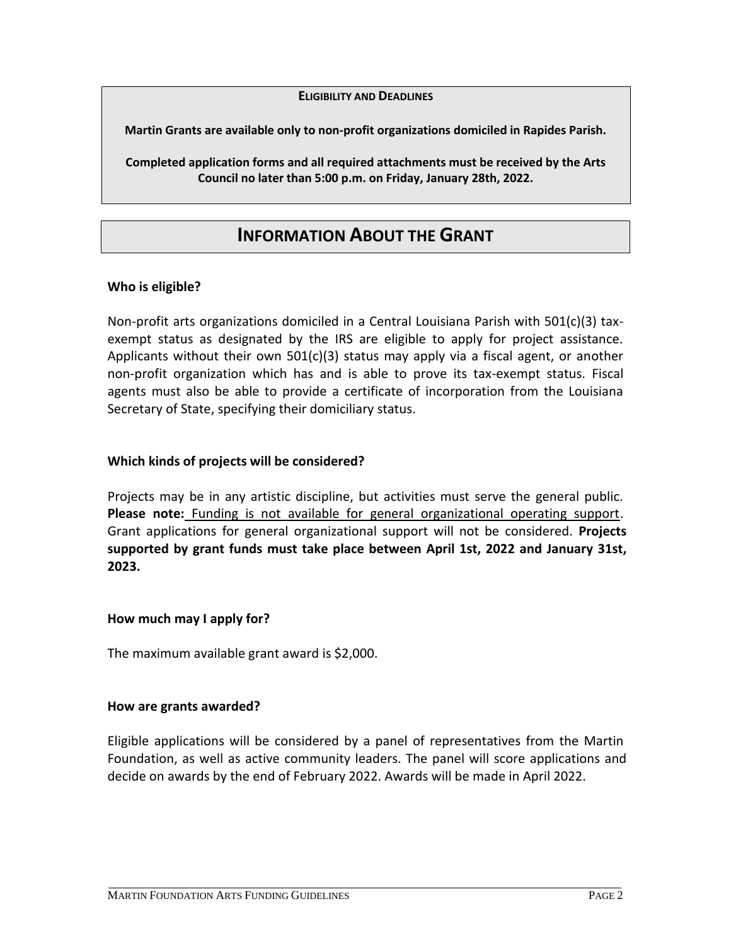#### **ELIGIBILITY AND DEADLINES**

**Martin Grants are available only to non-profit organizations domiciled in Rapides Parish.** 

**Completed application forms and all required attachments must be received by the Arts Council no later than 5:00 p.m. on Friday, January 28th, 2022.**

# **INFORMATION ABOUT THE GRANT**

### **Who is eligible?**

Non-profit arts organizations domiciled in a Central Louisiana Parish with 501(c)(3) taxexempt status as designated by the IRS are eligible to apply for project assistance. Applicants without their own  $501(c)(3)$  status may apply via a fiscal agent, or another non-profit organization which has and is able to prove its tax-exempt status. Fiscal agents must also be able to provide a certificate of incorporation from the Louisiana Secretary of State, specifying their domiciliary status.

#### **Which kinds of projects will be considered?**

Projects may be in any artistic discipline, but activities must serve the general public. **Please note:** Funding is not available for general organizational operating support. Grant applications for general organizational support will not be considered. **Projects supported by grant funds must take place between April 1st, 2022 and January 31st, 2023.**

#### **How much may I apply for?**

The maximum available grant award is \$2,000.

#### **How are grants awarded?**

Eligible applications will be considered by a panel of representatives from the Martin Foundation, as well as active community leaders. The panel will score applications and decide on awards by the end of February 2022. Awards will be made in April 2022.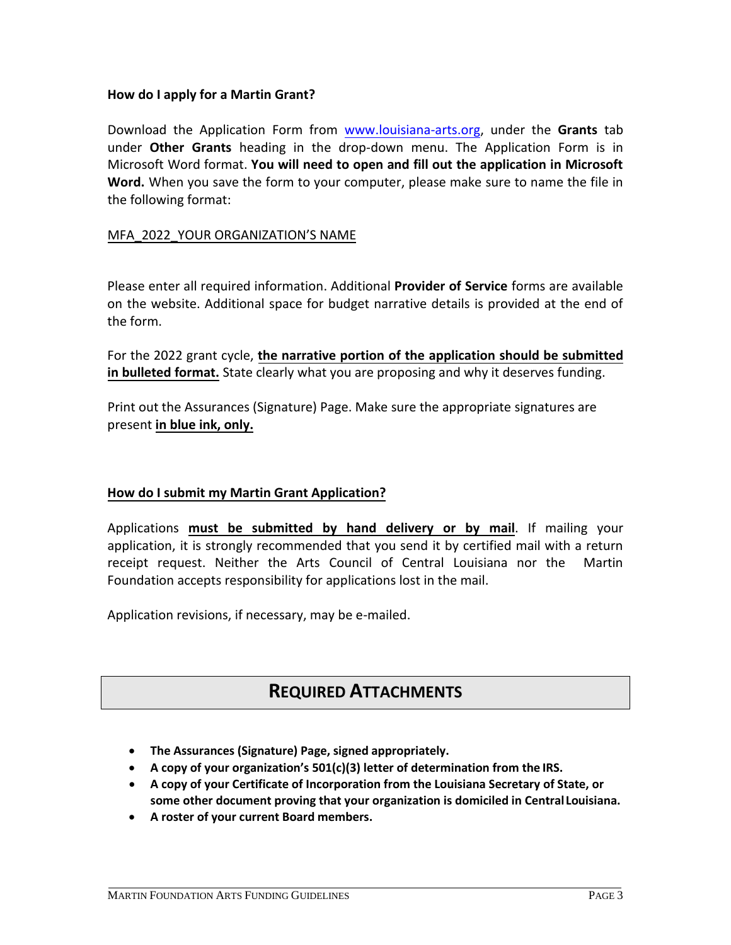### **How do I apply for a Martin Grant?**

Download the Application Form from [www.louisiana-arts.org,](http://www.louisiana-arts.org/) under the **Grants** tab under **Other Grants** heading in the drop-down menu. The Application Form is in Microsoft Word format. **You will need to open and fill out the application in Microsoft Word.** When you save the form to your computer, please make sure to name the file in the following format:

### MFA\_2022\_YOUR ORGANIZATION'S NAME

Please enter all required information. Additional **Provider of Service** forms are available on the website. Additional space for budget narrative details is provided at the end of the form.

For the 2022 grant cycle, **the narrative portion of the application should be submitted in bulleted format.** State clearly what you are proposing and why it deserves funding.

Print out the Assurances (Signature) Page. Make sure the appropriate signatures are present **in blue ink, only.**

### **How do I submit my Martin Grant Application?**

Applications **must be submitted by hand delivery or by mail**. If mailing your application, it is strongly recommended that you send it by certified mail with a return receipt request. Neither the Arts Council of Central Louisiana nor the Martin Foundation accepts responsibility for applications lost in the mail.

Application revisions, if necessary, may be e-mailed.

## **REQUIRED ATTACHMENTS**

- **The Assurances (Signature) Page, signed appropriately.**
- **A copy of your organization's 501(c)(3) letter of determination from the IRS.**
- **A copy of your Certificate of Incorporation from the Louisiana Secretary of State, or some other document proving that your organization is domiciled in Central Louisiana.**
- **A roster of your current Board members.**